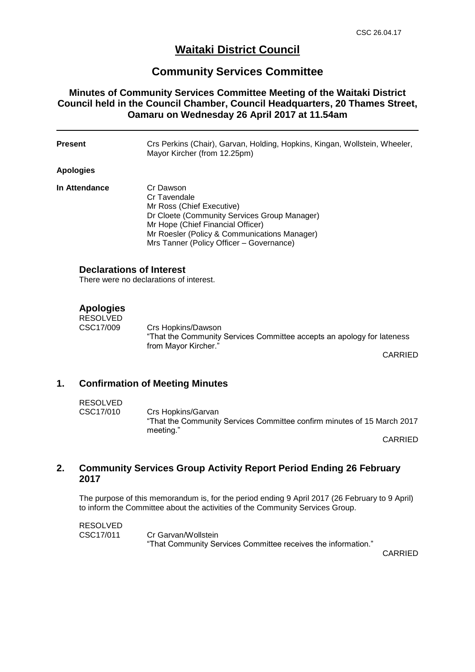# **Waitaki District Council**

# **Community Services Committee**

## **Minutes of Community Services Committee Meeting of the Waitaki District Council held in the Council Chamber, Council Headquarters, 20 Thames Street, Oamaru on Wednesday 26 April 2017 at 11.54am**

| Present                                                                    | Crs Perkins (Chair), Garvan, Holding, Hopkins, Kingan, Wollstein, Wheeler,<br>Mayor Kircher (from 12.25pm)                                                                                                                              |         |
|----------------------------------------------------------------------------|-----------------------------------------------------------------------------------------------------------------------------------------------------------------------------------------------------------------------------------------|---------|
| <b>Apologies</b>                                                           |                                                                                                                                                                                                                                         |         |
| In Attendance                                                              | Cr Dawson<br>Cr Tavendale<br>Mr Ross (Chief Executive)<br>Dr Cloete (Community Services Group Manager)<br>Mr Hope (Chief Financial Officer)<br>Mr Roesler (Policy & Communications Manager)<br>Mrs Tanner (Policy Officer - Governance) |         |
| <b>Declarations of Interest</b><br>There were no declarations of interest. |                                                                                                                                                                                                                                         |         |
| <b>Apologies</b><br><b>RESOLVED</b><br>CSC17/009                           | Crs Hopkins/Dawson<br>"That the Community Services Committee accepts an apology for lateness<br>from Mayor Kircher."                                                                                                                    | CARRIED |

### **1. Confirmation of Meeting Minutes**

RESOLVED CSC17/010 Crs Hopkins/Garvan "That the Community Services Committee confirm minutes of 15 March 2017 meeting."

CARRIED

### **2. Community Services Group Activity Report Period Ending 26 February 2017**

The purpose of this memorandum is, for the period ending 9 April 2017 (26 February to 9 April) to inform the Committee about the activities of the Community Services Group.

RESOLVED CSC17/011 Cr Garvan/Wollstein "That Community Services Committee receives the information."

CARRIED